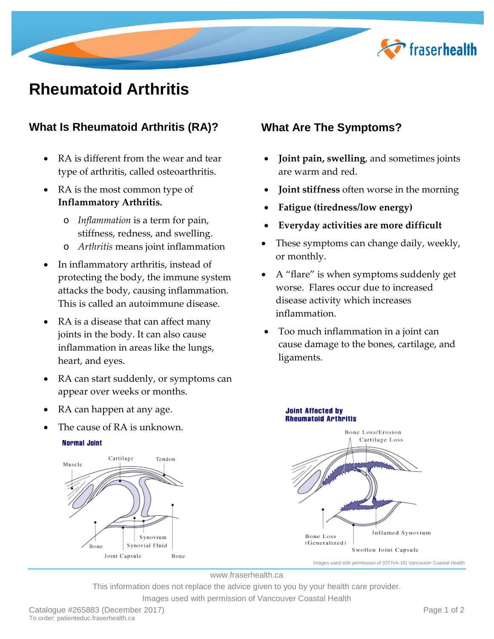

# **Rheumatoid Arthritis**

# **What Is Rheumatoid Arthritis (RA)?**

- RA is different from the wear and tear type of arthritis, called osteoarthritis.
- RA is the most common type of **Inflammatory Arthritis.**
	- o *Inflammation* is a term for pain, stiffness, redness, and swelling.
	- o *Arthritis* means joint inflammation
- In inflammatory arthritis, instead of protecting the body, the immune system attacks the body, causing inflammation. This is called an autoimmune disease.
- RA is a disease that can affect many joints in the body. It can also cause inflammation in areas like the lungs, heart, and eyes.
- RA can start suddenly, or symptoms can appear over weeks or months.
- RA can happen at any age.
- The cause of RA is unknown.



# **What Are The Symptoms?**

- **Joint pain, swelling**, and sometimes joints are warm and red.
- **Joint stiffness** often worse in the morning
- **Fatigue (tiredness/low energy)**
- **Everyday activities are more difficult**
- These symptoms can change daily, weekly, or monthly.
- A "flare" is when symptoms suddenly get worse. Flares occur due to increased disease activity which increases inflammation.
- Too much inflammation in a joint can cause damage to the bones, cartilage, and ligaments.



www.fraserhealth.ca

This information does not replace the advice given to you by your health care provider. Images used with permission of Vancouver Coastal Health